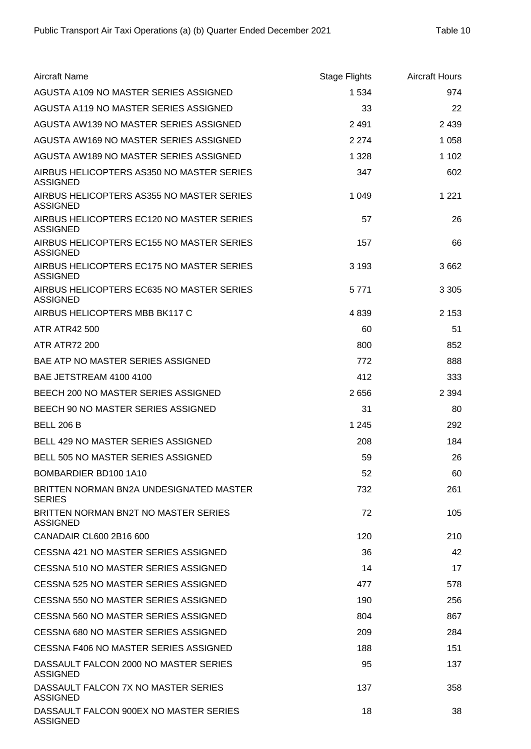| <b>Aircraft Name</b>                                         | <b>Stage Flights</b> | <b>Aircraft Hours</b> |
|--------------------------------------------------------------|----------------------|-----------------------|
| AGUSTA A109 NO MASTER SERIES ASSIGNED                        | 1 5 3 4              | 974                   |
| AGUSTA A119 NO MASTER SERIES ASSIGNED                        | 33                   | 22                    |
| AGUSTA AW139 NO MASTER SERIES ASSIGNED                       | 2 4 9 1              | 2 4 3 9               |
| AGUSTA AW169 NO MASTER SERIES ASSIGNED                       | 2 2 7 4              | 1 0 5 8               |
| AGUSTA AW189 NO MASTER SERIES ASSIGNED                       | 1 3 2 8              | 1 1 0 2               |
| AIRBUS HELICOPTERS AS350 NO MASTER SERIES<br><b>ASSIGNED</b> | 347                  | 602                   |
| AIRBUS HELICOPTERS AS355 NO MASTER SERIES<br><b>ASSIGNED</b> | 1 0 4 9              | 1 2 2 1               |
| AIRBUS HELICOPTERS EC120 NO MASTER SERIES<br><b>ASSIGNED</b> | 57                   | 26                    |
| AIRBUS HELICOPTERS EC155 NO MASTER SERIES<br><b>ASSIGNED</b> | 157                  | 66                    |
| AIRBUS HELICOPTERS EC175 NO MASTER SERIES<br><b>ASSIGNED</b> | 3 1 9 3              | 3662                  |
| AIRBUS HELICOPTERS EC635 NO MASTER SERIES<br><b>ASSIGNED</b> | 5 7 7 1              | 3 3 0 5               |
| AIRBUS HELICOPTERS MBB BK117 C                               | 4839                 | 2 1 5 3               |
| <b>ATR ATR42 500</b>                                         | 60                   | 51                    |
| <b>ATR ATR72 200</b>                                         | 800                  | 852                   |
| <b>BAE ATP NO MASTER SERIES ASSIGNED</b>                     | 772                  | 888                   |
| BAE JETSTREAM 4100 4100                                      | 412                  | 333                   |
| BEECH 200 NO MASTER SERIES ASSIGNED                          | 2656                 | 2 3 9 4               |
| BEECH 90 NO MASTER SERIES ASSIGNED                           | 31                   | 80                    |
| <b>BELL 206 B</b>                                            | 1 2 4 5              | 292                   |
| BELL 429 NO MASTER SERIES ASSIGNED                           | 208                  | 184                   |
| <b>BELL 505 NO MASTER SERIES ASSIGNED</b>                    | 59                   | 26                    |
| BOMBARDIER BD100 1A10                                        | 52                   | 60                    |
| BRITTEN NORMAN BN2A UNDESIGNATED MASTER<br><b>SERIES</b>     | 732                  | 261                   |
| BRITTEN NORMAN BN2T NO MASTER SERIES<br><b>ASSIGNED</b>      | 72                   | 105                   |
| CANADAIR CL600 2B16 600                                      | 120                  | 210                   |
| CESSNA 421 NO MASTER SERIES ASSIGNED                         | 36                   | 42                    |
| CESSNA 510 NO MASTER SERIES ASSIGNED                         | 14                   | 17                    |
| CESSNA 525 NO MASTER SERIES ASSIGNED                         | 477                  | 578                   |
| CESSNA 550 NO MASTER SERIES ASSIGNED                         | 190                  | 256                   |
| CESSNA 560 NO MASTER SERIES ASSIGNED                         | 804                  | 867                   |
| CESSNA 680 NO MASTER SERIES ASSIGNED                         | 209                  | 284                   |
| CESSNA F406 NO MASTER SERIES ASSIGNED                        | 188                  | 151                   |
| DASSAULT FALCON 2000 NO MASTER SERIES<br><b>ASSIGNED</b>     | 95                   | 137                   |
| DASSAULT FALCON 7X NO MASTER SERIES<br><b>ASSIGNED</b>       | 137                  | 358                   |
| DASSAULT FALCON 900EX NO MASTER SERIES<br><b>ASSIGNED</b>    | 18                   | 38                    |